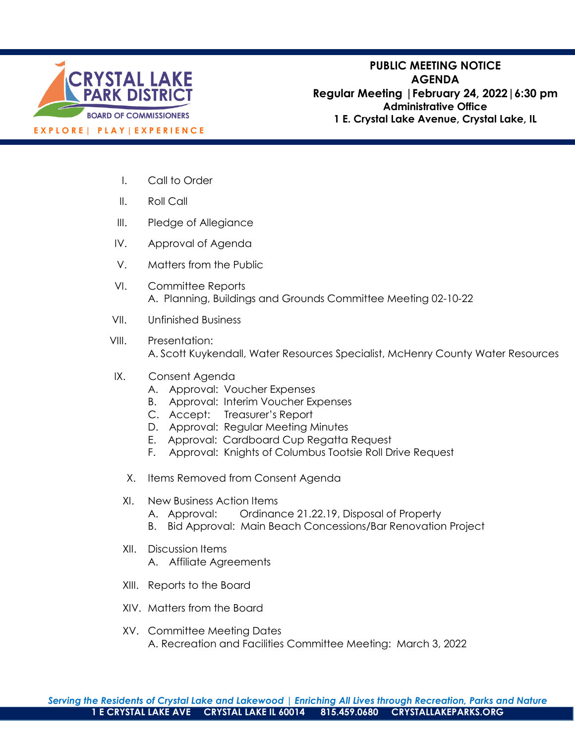

**PUBLIC MEETING NOTICE AGENDA Regular Meeting |February 24, 2022|6:30 pm Administrative Office 1 E. Crystal Lake Avenue, Crystal Lake, IL**

- I. Call to Order
- II. Roll Call
- III. Pledge of Allegiance
- IV. Approval of Agenda
- V. Matters from the Public
- VI. Committee Reports A. Planning, Buildings and Grounds Committee Meeting 02-10-22
- VII. Unfinished Business
- VIII. Presentation: A. Scott Kuykendall, Water Resources Specialist, McHenry County Water Resources
- IX. Consent Agenda
	- A. Approval: Voucher Expenses
	- B. Approval: Interim Voucher Expenses
	- C. Accept: Treasurer's Report
	- D. Approval: Regular Meeting Minutes
	- E. Approval: Cardboard Cup Regatta Request
	- F. Approval: Knights of Columbus Tootsie Roll Drive Request
	- X. Items Removed from Consent Agenda
	- XI. New Business Action Items
		- A. Approval: Ordinance 21.22.19, Disposal of Property
		- B. Bid Approval: Main Beach Concessions/Bar Renovation Project
	- XII. Discussion Items
		- A. Affiliate Agreements
	- XIII. Reports to the Board
	- XIV. Matters from the Board
	- XV. Committee Meeting Dates A. Recreation and Facilities Committee Meeting: March 3, 2022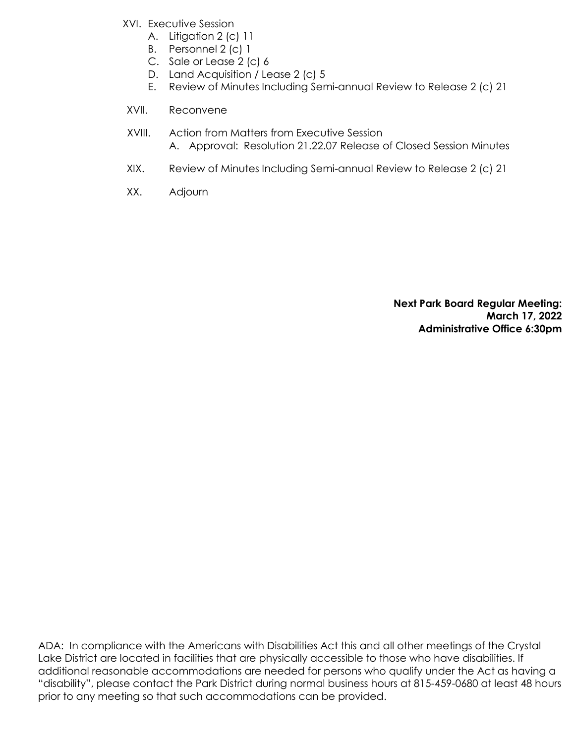- XVI. Executive Session
	- A. Litigation 2 (c) 11
	- B. Personnel 2 (c) 1
	- C. Sale or Lease 2 (c) 6
	- D. Land Acquisition / Lease 2 (c) 5
	- E. Review of Minutes Including Semi-annual Review to Release 2 (c) 21
- XVII. Reconvene
- XVIII. Action from Matters from Executive Session A. Approval: Resolution 21.22.07 Release of Closed Session Minutes
- XIX. Review of Minutes Including Semi-annual Review to Release 2 (c) 21
- XX. Adjourn

**Next Park Board Regular Meeting: March 17, 2022 Administrative Office 6:30pm**

ADA: In compliance with the Americans with Disabilities Act this and all other meetings of the Crystal Lake District are located in facilities that are physically accessible to those who have disabilities. If additional reasonable accommodations are needed for persons who qualify under the Act as having a "disability", please contact the Park District during normal business hours at 815-459-0680 at least 48 hours prior to any meeting so that such accommodations can be provided.